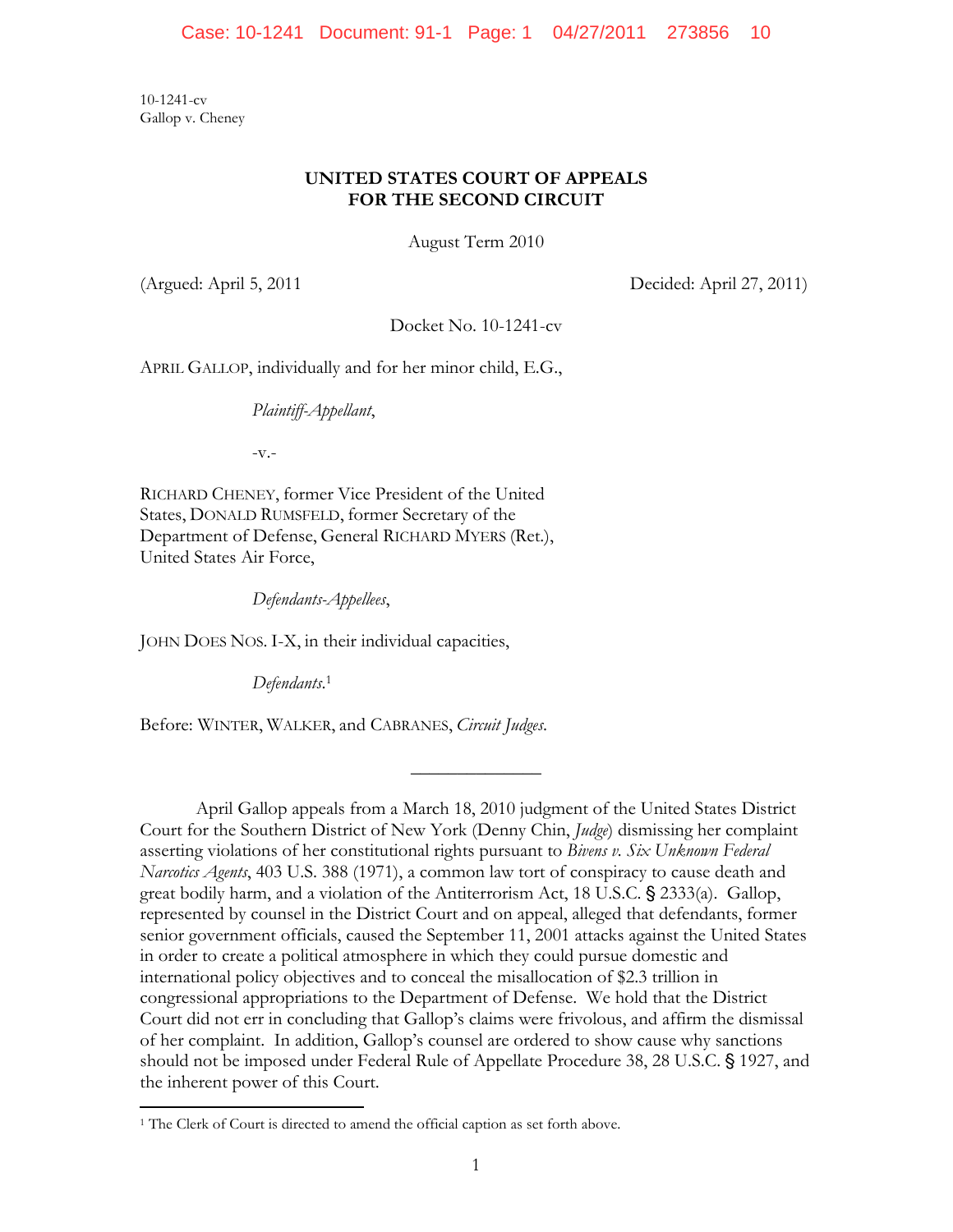10-1241-cv Gallop v. Cheney

# **UNITED STATES COURT OF APPEALS FOR THE SECOND CIRCUIT**

August Term 2010

(Argued: April 5, 2011 Decided: April 27, 2011)

Docket No. 10-1241-cv

APRIL GALLOP, individually and for her minor child, E.G.,

*Plaintiff-Appellant*,

-v.-

RICHARD CHENEY, former Vice President of the United States, DONALD RUMSFELD, former Secretary of the Department of Defense, General RICHARD MYERS (Ret.), United States Air Force,

*Defendants-Appellees*,

JOHN DOES NOS. I-X, in their individual capacities,

*Defendants*. 1

1

Before: WINTER, WALKER, and CABRANES, *Circuit Judges*.

April Gallop appeals from a March 18, 2010 judgment of the United States District Court for the Southern District of New York (Denny Chin, *Judge*) dismissing her complaint asserting violations of her constitutional rights pursuant to *Bivens v. Six Unknown Federal Narcotics Agents*, 403 U.S. 388 (1971), a common law tort of conspiracy to cause death and great bodily harm, and a violation of the Antiterrorism Act, 18 U.S.C. § 2333(a). Gallop, represented by counsel in the District Court and on appeal, alleged that defendants, former senior government officials, caused the September 11, 2001 attacks against the United States in order to create a political atmosphere in which they could pursue domestic and international policy objectives and to conceal the misallocation of \$2.3 trillion in congressional appropriations to the Department of Defense. We hold that the District Court did not err in concluding that Gallop's claims were frivolous, and affirm the dismissal of her complaint. In addition, Gallop's counsel are ordered to show cause why sanctions should not be imposed under Federal Rule of Appellate Procedure 38, 28 U.S.C. § 1927, and the inherent power of this Court.

 $\frac{1}{2}$ 

<sup>&</sup>lt;sup>1</sup> The Clerk of Court is directed to amend the official caption as set forth above.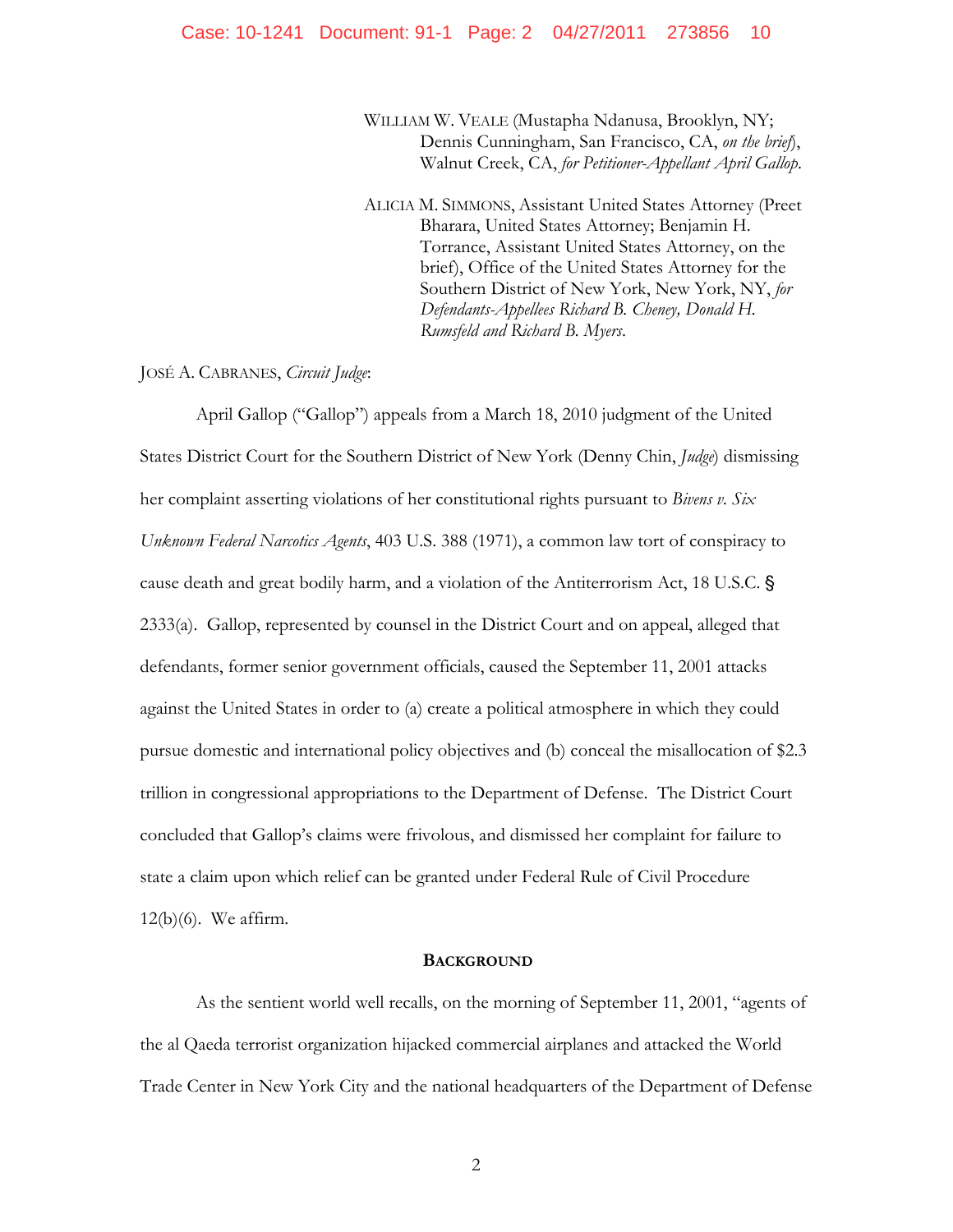### Case: 10-1241 Document: 91-1 Page: 2 04/27/2011 273856 10

WILLIAM W. VEALE (Mustapha Ndanusa, Brooklyn, NY; Dennis Cunningham, San Francisco, CA, *on the brief*), Walnut Creek, CA, *for Petitioner-Appellant April Gallop*.

ALICIA M. SIMMONS, Assistant United States Attorney (Preet Bharara, United States Attorney; Benjamin H. Torrance, Assistant United States Attorney, on the brief), Office of the United States Attorney for the Southern District of New York, New York, NY, *for Defendants-Appellees Richard B. Cheney, Donald H. Rumsfeld and Richard B. Myers*.

JOSÉ A. CABRANES, *Circuit Judge*:

April Gallop ("Gallop") appeals from a March 18, 2010 judgment of the United States District Court for the Southern District of New York (Denny Chin, *Judge*) dismissing her complaint asserting violations of her constitutional rights pursuant to *Bivens v. Six Unknown Federal Narcotics Agents*, 403 U.S. 388 (1971), a common law tort of conspiracy to cause death and great bodily harm, and a violation of the Antiterrorism Act, 18 U.S.C. ' 2333(a). Gallop, represented by counsel in the District Court and on appeal, alleged that defendants, former senior government officials, caused the September 11, 2001 attacks against the United States in order to (a) create a political atmosphere in which they could pursue domestic and international policy objectives and (b) conceal the misallocation of \$2.3 trillion in congressional appropriations to the Department of Defense. The District Court concluded that Gallop's claims were frivolous, and dismissed her complaint for failure to state a claim upon which relief can be granted under Federal Rule of Civil Procedure 12(b)(6). We affirm.

#### **BACKGROUND**

As the sentient world well recalls, on the morning of September 11, 2001, "agents of the al Qaeda terrorist organization hijacked commercial airplanes and attacked the World Trade Center in New York City and the national headquarters of the Department of Defense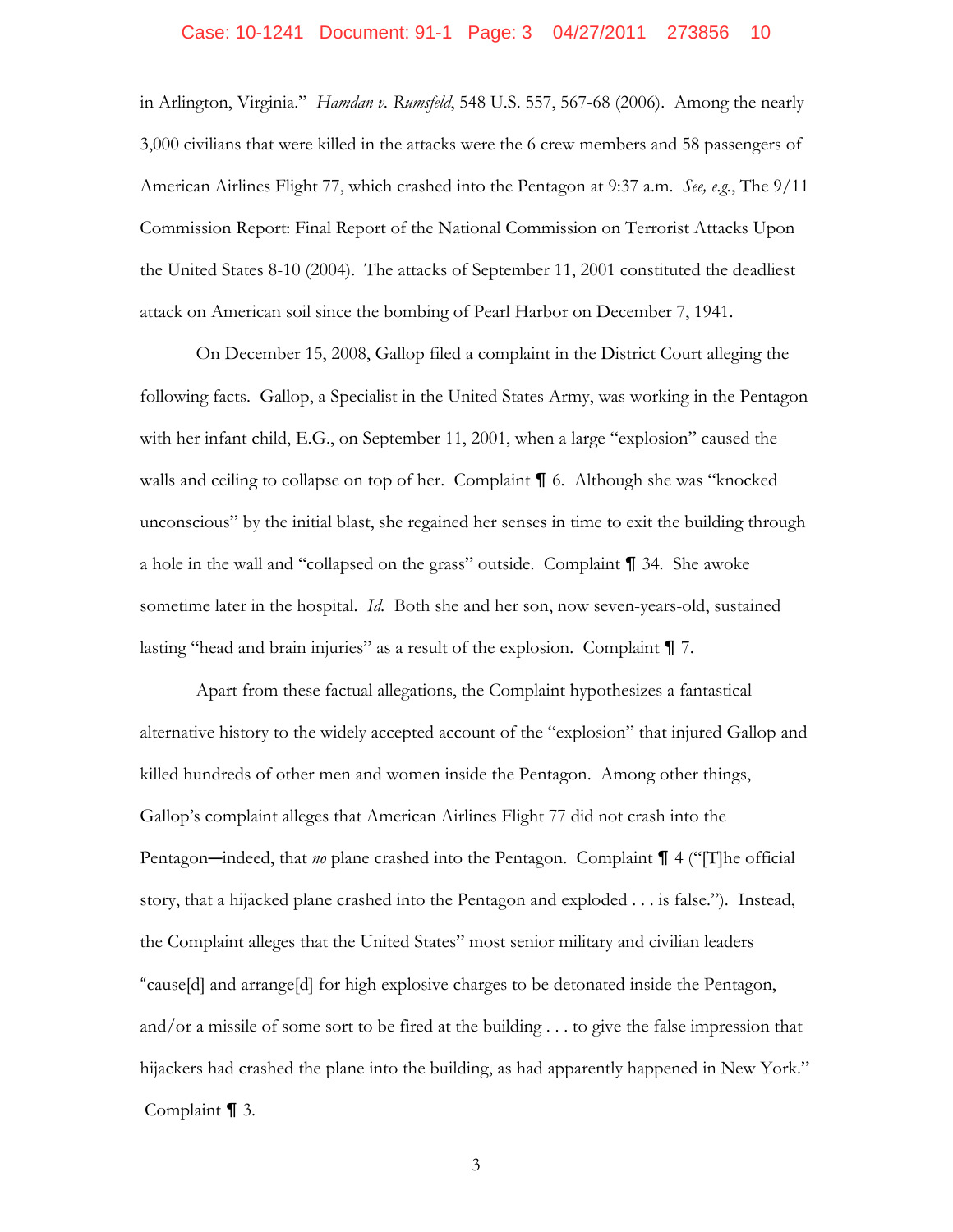### Case: 10-1241 Document: 91-1 Page: 3 04/27/2011 273856 10

in Arlington, Virginia." *Hamdan v. Rumsfeld*, 548 U.S. 557, 567-68 (2006). Among the nearly 3,000 civilians that were killed in the attacks were the 6 crew members and 58 passengers of American Airlines Flight 77, which crashed into the Pentagon at 9:37 a.m. *See, e.g.*, The 9/11 Commission Report: Final Report of the National Commission on Terrorist Attacks Upon the United States 8-10 (2004). The attacks of September 11, 2001 constituted the deadliest attack on American soil since the bombing of Pearl Harbor on December 7, 1941.

On December 15, 2008, Gallop filed a complaint in the District Court alleging the following facts. Gallop, a Specialist in the United States Army, was working in the Pentagon with her infant child, E.G., on September 11, 2001, when a large "explosion" caused the walls and ceiling to collapse on top of her. Complaint **[6** 6. Although she was "knocked" unconscious" by the initial blast, she regained her senses in time to exit the building through a hole in the wall and "collapsed on the grass" outside. Complaint  $\P$  34. She awoke sometime later in the hospital. *Id.* Both she and her son, now seven-years-old, sustained lasting "head and brain injuries" as a result of the explosion. Complaint  $\P$  7.

Apart from these factual allegations, the Complaint hypothesizes a fantastical alternative history to the widely accepted account of the "explosion" that injured Gallop and killed hundreds of other men and women inside the Pentagon. Among other things, Gallop's complaint alleges that American Airlines Flight 77 did not crash into the Pentagon—indeed, that *no* plane crashed into the Pentagon. Complaint  $\P$  4 ("[T]he official story, that a hijacked plane crashed into the Pentagon and exploded . . . is false."). Instead, the Complaint alleges that the United States" most senior military and civilian leaders "cause[d] and arrange[d] for high explosive charges to be detonated inside the Pentagon, and/or a missile of some sort to be fired at the building . . . to give the false impression that hijackers had crashed the plane into the building, as had apparently happened in New York." Complaint  $\P$  3.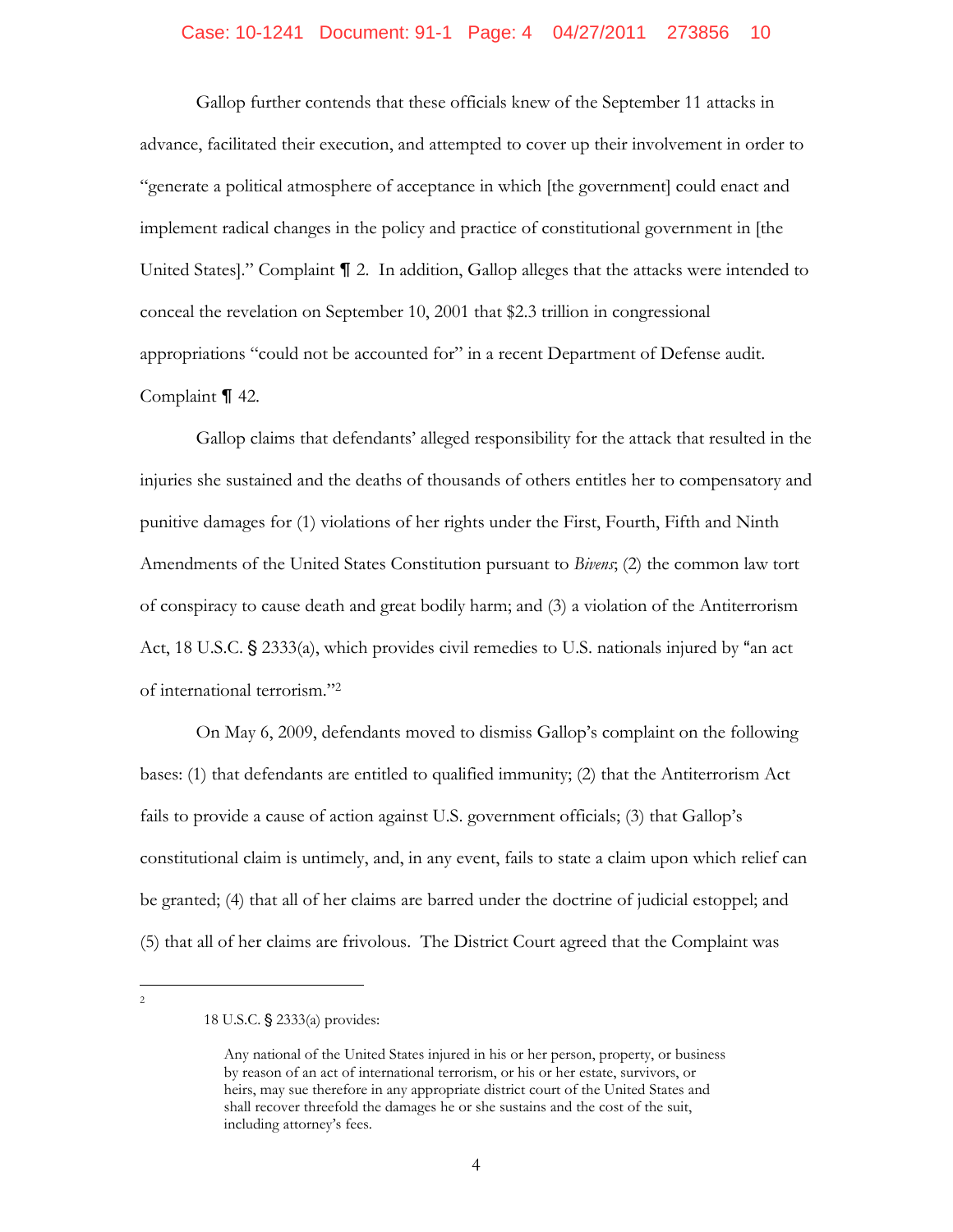# Case: 10-1241 Document: 91-1 Page: 4 04/27/2011 273856 10

Gallop further contends that these officials knew of the September 11 attacks in advance, facilitated their execution, and attempted to cover up their involvement in order to "generate a political atmosphere of acceptance in which [the government] could enact and implement radical changes in the policy and practice of constitutional government in [the United States]." Complaint  $\P$  2. In addition, Gallop alleges that the attacks were intended to conceal the revelation on September 10, 2001 that \$2.3 trillion in congressional appropriations "could not be accounted for" in a recent Department of Defense audit. Complaint  $\P$  42.

Gallop claims that defendants' alleged responsibility for the attack that resulted in the injuries she sustained and the deaths of thousands of others entitles her to compensatory and punitive damages for (1) violations of her rights under the First, Fourth, Fifth and Ninth Amendments of the United States Constitution pursuant to *Bivens*; (2) the common law tort of conspiracy to cause death and great bodily harm; and (3) a violation of the Antiterrorism Act, 18 U.S.C.  $\S$  2333(a), which provides civil remedies to U.S. nationals injured by "an act of international terrorism."2

On May 6, 2009, defendants moved to dismiss Gallop's complaint on the following bases: (1) that defendants are entitled to qualified immunity; (2) that the Antiterrorism Act fails to provide a cause of action against U.S. government officials; (3) that Gallop's constitutional claim is untimely, and, in any event, fails to state a claim upon which relief can be granted; (4) that all of her claims are barred under the doctrine of judicial estoppel; and (5) that all of her claims are frivolous. The District Court agreed that the Complaint was

 $\overline{a}$  $\overline{2}$ 

<sup>18</sup> U.S.C. § 2333(a) provides:

Any national of the United States injured in his or her person, property, or business by reason of an act of international terrorism, or his or her estate, survivors, or heirs, may sue therefore in any appropriate district court of the United States and shall recover threefold the damages he or she sustains and the cost of the suit, including attorney's fees.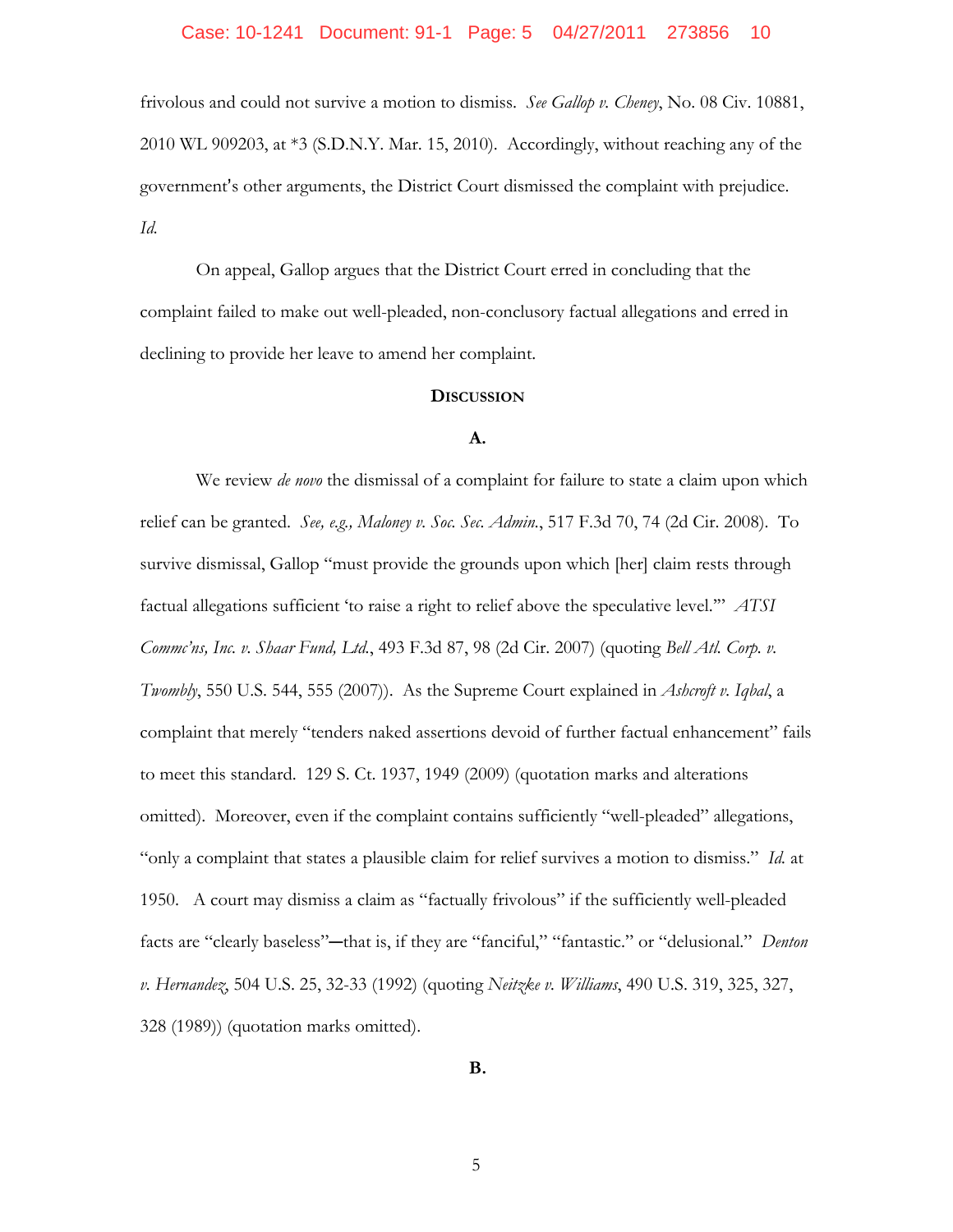## Case: 10-1241 Document: 91-1 Page: 5 04/27/2011 273856 10

frivolous and could not survive a motion to dismiss. *See Gallop v. Cheney*, No. 08 Civ. 10881, 2010 WL 909203, at \*3 (S.D.N.Y. Mar. 15, 2010).Accordingly, without reaching any of the government's other arguments, the District Court dismissed the complaint with prejudice. *Id.*

On appeal, Gallop argues that the District Court erred in concluding that the complaint failed to make out well-pleaded, non-conclusory factual allegations and erred in declining to provide her leave to amend her complaint.

# **DISCUSSION**

# **A.**

We review *de novo* the dismissal of a complaint for failure to state a claim upon which relief can be granted. *See, e.g., Maloney v. Soc. Sec. Admin.*, 517 F.3d 70, 74 (2d Cir. 2008). To survive dismissal, Gallop "must provide the grounds upon which [her] claim rests through factual allegations sufficient 'to raise a right to relief above the speculative level.'" *ATSI Commc'ns, Inc. v. Shaar Fund, Ltd.*, 493 F.3d 87, 98 (2d Cir. 2007) (quoting *Bell Atl. Corp. v. Twombly*, 550 U.S. 544, 555 (2007)). As the Supreme Court explained in *Ashcroft v. Iqbal*, a complaint that merely "tenders naked assertions devoid of further factual enhancement" fails to meet this standard. 129 S. Ct. 1937, 1949 (2009) (quotation marks and alterations omitted). Moreover, even if the complaint contains sufficiently "well-pleaded" allegations, "only a complaint that states a plausible claim for relief survives a motion to dismiss." *Id.* at 1950. A court may dismiss a claim as "factually frivolous" if the sufficiently well-pleaded facts are "clearly baseless"—that is, if they are "fanciful," "fantastic." or "delusional." *Denton v. Hernandez*, 504 U.S. 25, 32-33 (1992) (quoting *Neitzke v. Williams*, 490 U.S. 319, 325, 327, 328 (1989)) (quotation marks omitted).

**B.**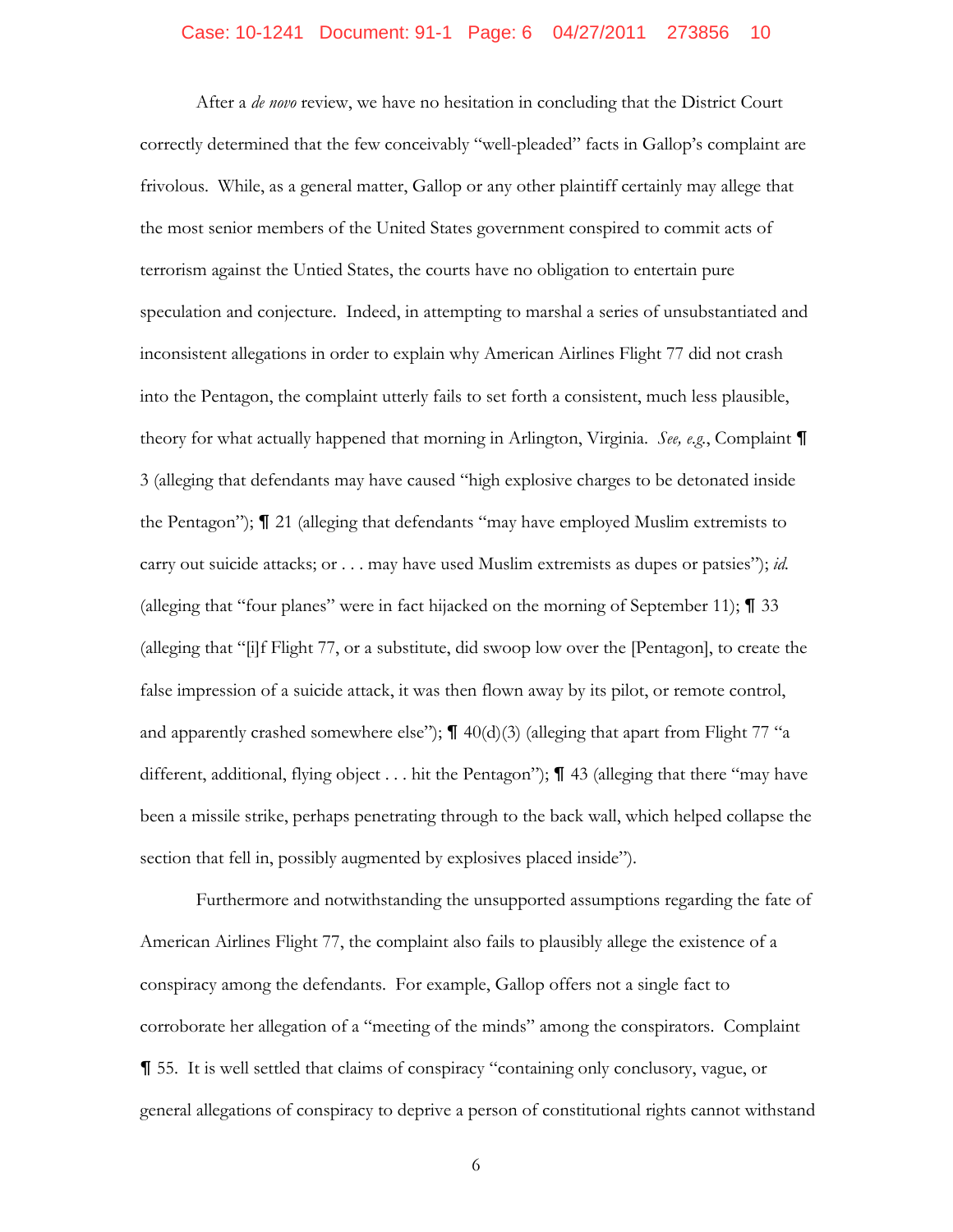## Case: 10-1241 Document: 91-1 Page: 6 04/27/2011 273856 10

After a *de novo* review, we have no hesitation in concluding that the District Court correctly determined that the few conceivably "well-pleaded" facts in Gallop's complaint are frivolous. While, as a general matter, Gallop or any other plaintiff certainly may allege that the most senior members of the United States government conspired to commit acts of terrorism against the Untied States, the courts have no obligation to entertain pure speculation and conjecture. Indeed, in attempting to marshal a series of unsubstantiated and inconsistent allegations in order to explain why American Airlines Flight 77 did not crash into the Pentagon, the complaint utterly fails to set forth a consistent, much less plausible, theory for what actually happened that morning in Arlington, Virginia. *See, e.g.*, Complaint & 3 (alleging that defendants may have caused "high explosive charges to be detonated inside the Pentagon");  $\P$  21 (alleging that defendants "may have employed Muslim extremists to carry out suicide attacks; or . . . may have used Muslim extremists as dupes or patsies"); *id.*  (alleging that "four planes" were in fact hijacked on the morning of September 11);  $\P$  33 (alleging that "[i]f Flight 77, or a substitute, did swoop low over the [Pentagon], to create the false impression of a suicide attack, it was then flown away by its pilot, or remote control, and apparently crashed somewhere else");  $\P$  40(d)(3) (alleging that apart from Flight 77 "a different, additional, flying object . . . hit the Pentagon");  $\P$  43 (alleging that there "may have been a missile strike, perhaps penetrating through to the back wall, which helped collapse the section that fell in, possibly augmented by explosives placed inside").

Furthermore and notwithstanding the unsupported assumptions regarding the fate of American Airlines Flight 77, the complaint also fails to plausibly allege the existence of a conspiracy among the defendants. For example, Gallop offers not a single fact to corroborate her allegation of a "meeting of the minds" among the conspirators. Complaint & 55. It is well settled that claims of conspiracy "containing only conclusory, vague, or general allegations of conspiracy to deprive a person of constitutional rights cannot withstand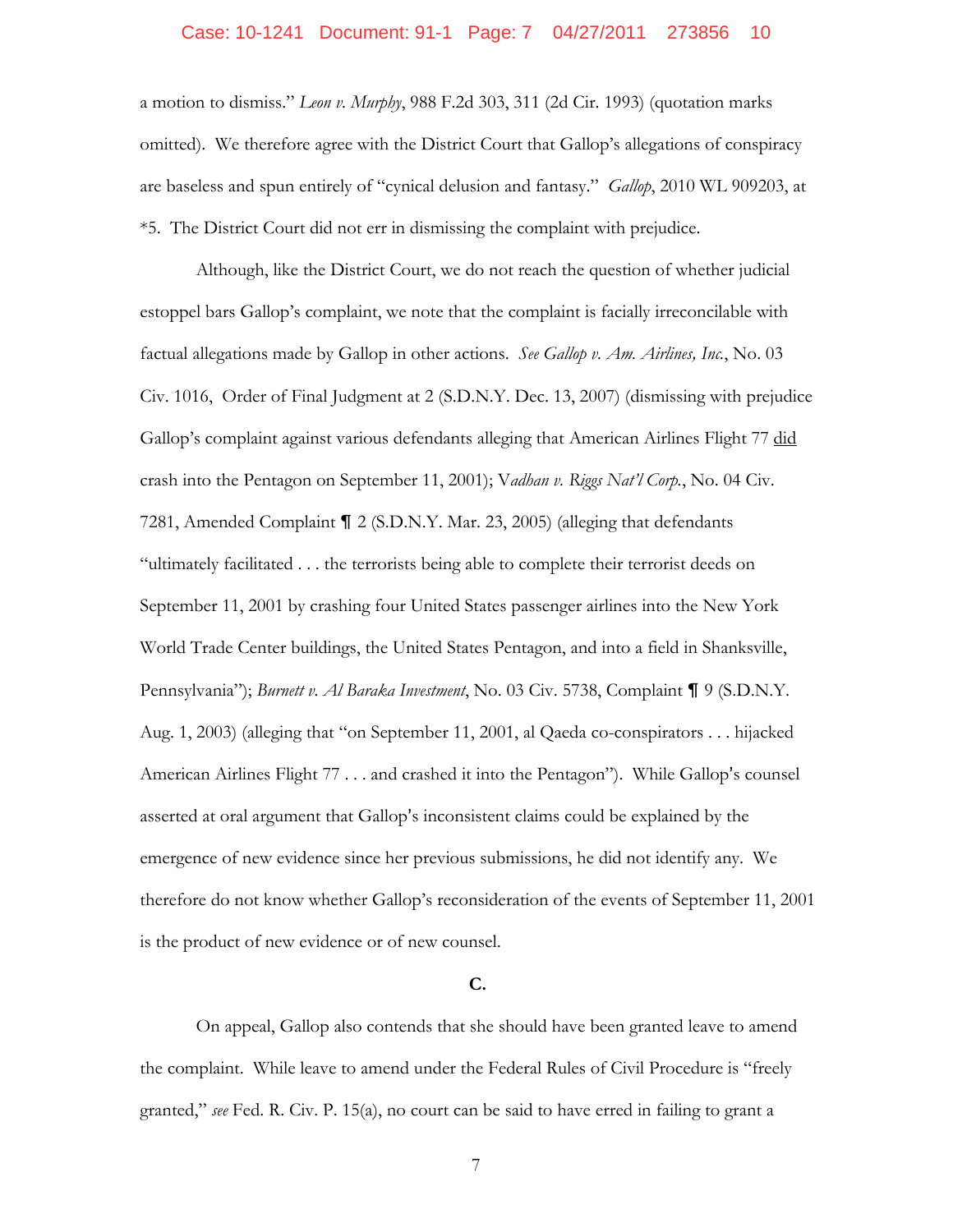## Case: 10-1241 Document: 91-1 Page: 7 04/27/2011 273856 10

a motion to dismiss." *Leon v. Murphy*, 988 F.2d 303, 311 (2d Cir. 1993) (quotation marks omitted). We therefore agree with the District Court that Gallop's allegations of conspiracy are baseless and spun entirely of "cynical delusion and fantasy." *Gallop*, 2010 WL 909203, at \*5. The District Court did not err in dismissing the complaint with prejudice.

Although, like the District Court, we do not reach the question of whether judicial estoppel bars Gallop's complaint, we note that the complaint is facially irreconcilable with factual allegations made by Gallop in other actions. *See Gallop v. Am. Airlines, Inc.*, No. 03 Civ. 1016, Order of Final Judgment at 2 (S.D.N.Y. Dec. 13, 2007) (dismissing with prejudice Gallop's complaint against various defendants alleging that American Airlines Flight 77 did crash into the Pentagon on September 11, 2001); V*adhan v. Riggs Nat'l Corp.*, No. 04 Civ. 7281, Amended Complaint  $\P$  2 (S.D.N.Y. Mar. 23, 2005) (alleging that defendants "ultimately facilitated . . . the terrorists being able to complete their terrorist deeds on September 11, 2001 by crashing four United States passenger airlines into the New York World Trade Center buildings, the United States Pentagon, and into a field in Shanksville, Pennsylvania"); *Burnett v. Al Baraka Investment*, No. 03 Civ. 5738, Complaint ¶ 9 (S.D.N.Y. Aug. 1, 2003) (alleging that "on September 11, 2001, al Qaeda co-conspirators . . . hijacked American Airlines Flight  $77 \ldots$  and crashed it into the Pentagon"). While Gallop's counsel asserted at oral argument that Gallop's inconsistent claims could be explained by the emergence of new evidence since her previous submissions, he did not identify any. We therefore do not know whether Gallop's reconsideration of the events of September 11, 2001 is the product of new evidence or of new counsel.

#### **C.**

On appeal, Gallop also contends that she should have been granted leave to amend the complaint. While leave to amend under the Federal Rules of Civil Procedure is "freely granted," *see* Fed. R. Civ. P. 15(a), no court can be said to have erred in failing to grant a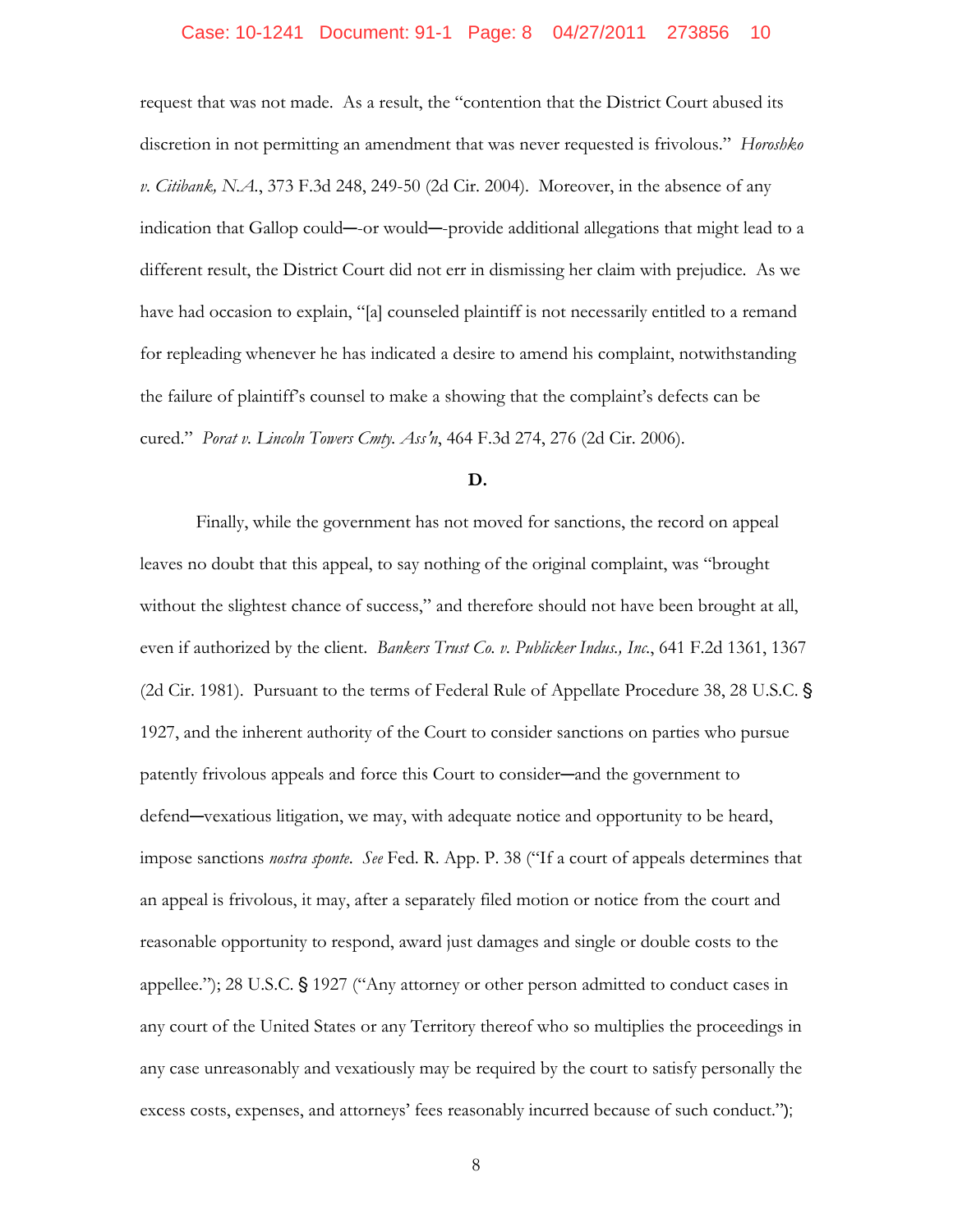#### Case: 10-1241 Document: 91-1 Page: 8 04/27/2011 273856 10

request that was not made. As a result, the "contention that the District Court abused its discretion in not permitting an amendment that was never requested is frivolous." *Horoshko v. Citibank, N.A.*, 373 F.3d 248, 249-50 (2d Cir. 2004). Moreover, in the absence of any indication that Gallop could—or would—provide additional allegations that might lead to a different result, the District Court did not err in dismissing her claim with prejudice. As we have had occasion to explain, "[a] counseled plaintiff is not necessarily entitled to a remand for repleading whenever he has indicated a desire to amend his complaint, notwithstanding the failure of plaintiff's counsel to make a showing that the complaint's defects can be cured." *Porat v. Lincoln Towers Cmty. Ass*=*n*, 464 F.3d 274, 276 (2d Cir. 2006).

# **D.**

Finally, while the government has not moved for sanctions, the record on appeal leaves no doubt that this appeal, to say nothing of the original complaint, was "brought without the slightest chance of success," and therefore should not have been brought at all, even if authorized by the client. *Bankers Trust Co. v. Publicker Indus., Inc.*, 641 F.2d 1361, 1367 (2d Cir. 1981). Pursuant to the terms of Federal Rule of Appellate Procedure 38, 28 U.S.C. ' 1927, and the inherent authority of the Court to consider sanctions on parties who pursue patently frivolous appeals and force this Court to consider—and the government to defend—vexatious litigation, we may, with adequate notice and opportunity to be heard, impose sanctions *nostra sponte*. *See* Fed. R. App. P. 38 ("If a court of appeals determines that an appeal is frivolous, it may, after a separately filed motion or notice from the court and reasonable opportunity to respond, award just damages and single or double costs to the appellee."); 28 U.S.C.  $\frac{6}{5}$  1927 ("Any attorney or other person admitted to conduct cases in any court of the United States or any Territory thereof who so multiplies the proceedings in any case unreasonably and vexatiously may be required by the court to satisfy personally the excess costs, expenses, and attorneys' fees reasonably incurred because of such conduct.");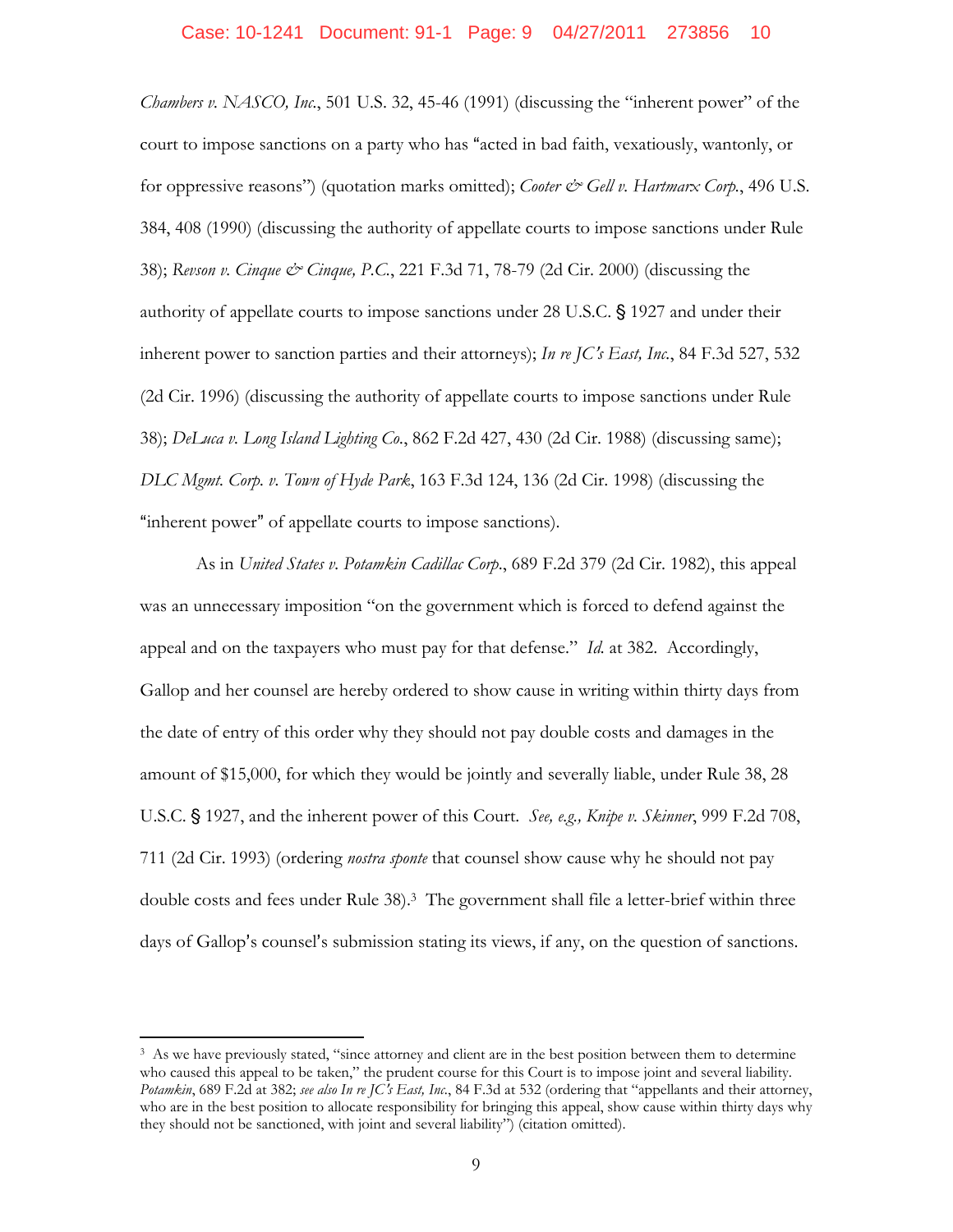*Chambers v. NASCO, Inc.*, 501 U.S. 32, 45-46 (1991) (discussing the "inherent power" of the court to impose sanctions on a party who has "acted in bad faith, vexatiously, wantonly, or for oppressive reasons") (quotation marks omitted); *Cooter & Gell v. Hartmarx Corp.*, 496 U.S. 384, 408 (1990) (discussing the authority of appellate courts to impose sanctions under Rule 38); *Revson v. Cinque & Cinque, P.C.*, 221 F.3d 71, 78-79 (2d Cir. 2000) (discussing the authority of appellate courts to impose sanctions under 28 U.S.C. § 1927 and under their inherent power to sanction parties and their attorneys); *In re JC's East, Inc.*, 84 F.3d 527, 532 (2d Cir. 1996) (discussing the authority of appellate courts to impose sanctions under Rule 38); *DeLuca v. Long Island Lighting Co.*, 862 F.2d 427, 430 (2d Cir. 1988) (discussing same); *DLC Mgmt. Corp. v. Town of Hyde Park*, 163 F.3d 124, 136 (2d Cir. 1998) (discussing the "inherent power" of appellate courts to impose sanctions).

As in *United States v. Potamkin Cadillac Corp*., 689 F.2d 379 (2d Cir. 1982), this appeal was an unnecessary imposition "on the government which is forced to defend against the appeal and on the taxpayers who must pay for that defense." *Id.* at 382. Accordingly, Gallop and her counsel are hereby ordered to show cause in writing within thirty days from the date of entry of this order why they should not pay double costs and damages in the amount of \$15,000, for which they would be jointly and severally liable, under Rule 38, 28 U.S.C. § 1927, and the inherent power of this Court. *See, e.g., Knipe v. Skinner*, 999 F.2d 708, 711 (2d Cir. 1993) (ordering *nostra sponte* that counsel show cause why he should not pay double costs and fees under Rule 38).3 The government shall file a letter-brief within three days of Gallop's counsel's submission stating its views, if any, on the question of sanctions.

 $\overline{a}$ 

<sup>&</sup>lt;sup>3</sup> As we have previously stated, "since attorney and client are in the best position between them to determine who caused this appeal to be taken," the prudent course for this Court is to impose joint and several liability. *Potamkin*, 689 F.2d at 382; *see also In re JC*=*s East, Inc.*, 84 F.3d at 532 (ordering that "appellants and their attorney, who are in the best position to allocate responsibility for bringing this appeal, show cause within thirty days why they should not be sanctioned, with joint and several liability") (citation omitted).